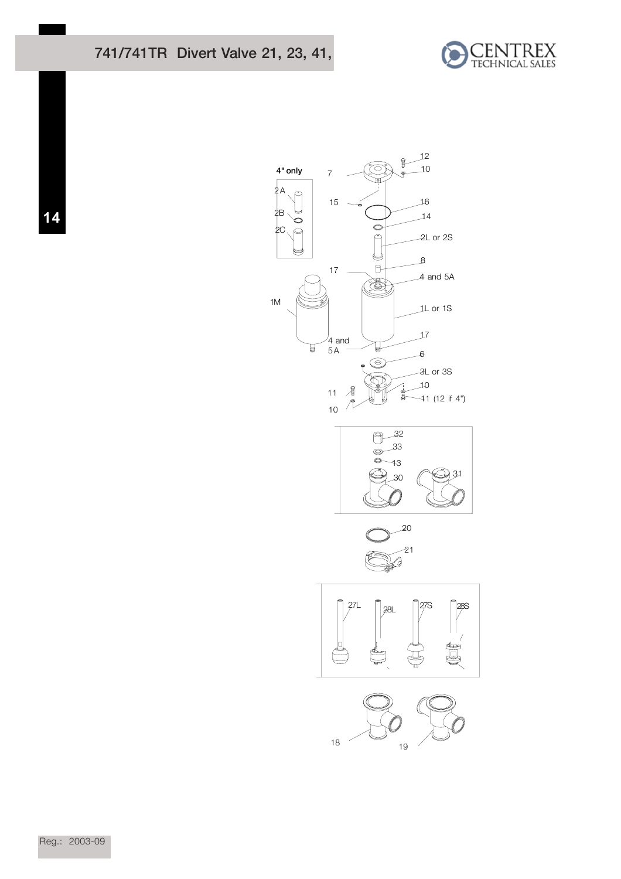## 741/741TR Divert Valve 21, 23, 41,





**14**